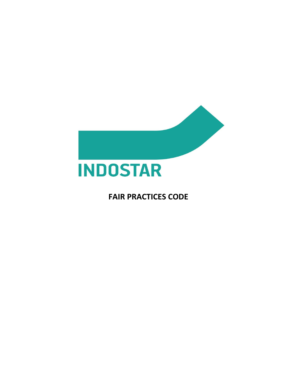

**FAIR PRACTICES CODE**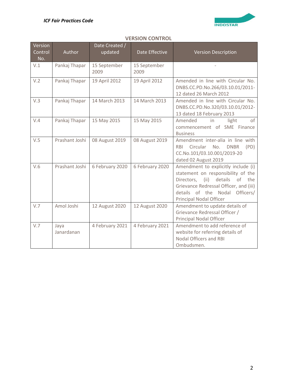

# **VERSION CONTROL**

| Version<br>Control<br>No. | Author             | Date Created /<br>updated | Date Effective       | <b>Version Description</b>                                                                                                                                                                                                         |
|---------------------------|--------------------|---------------------------|----------------------|------------------------------------------------------------------------------------------------------------------------------------------------------------------------------------------------------------------------------------|
| V.1                       | Pankaj Thapar      | 15 September<br>2009      | 15 September<br>2009 |                                                                                                                                                                                                                                    |
| V.2                       | Pankaj Thapar      | 19 April 2012             | 19 April 2012        | Amended in line with Circular No.<br>DNBS.CC.PD.No.266/03.10.01/2011-<br>12 dated 26 March 2012                                                                                                                                    |
| V.3                       | Pankaj Thapar      | 14 March 2013             | 14 March 2013        | Amended in line with Circular No.<br>DNBS.CC.PD.No.320/03.10.01/2012-<br>13 dated 18 February 2013                                                                                                                                 |
| V.4                       | Pankaj Thapar      | 15 May 2015               | 15 May 2015          | Amended<br>in<br>light<br>of<br>commencement of SME Finance<br><b>Business</b>                                                                                                                                                     |
| V.5                       | Prashant Joshi     | 08 August 2019            | 08 August 2019       | Amendment inter-alia in line with<br>(PD)<br>No.<br><b>DNBR</b><br><b>RBI</b><br>Circular<br>CC.No.101/03.10.001/2019-20<br>dated 02 August 2019                                                                                   |
| V.6                       | Prashant Joshi     | 6 February 2020           | 6 February 2020      | Amendment to explicitly include (i)<br>statement on responsibility of the<br>details<br>Directors, (ii)<br>of the<br>Grievance Redressal Officer, and (iii)<br>details of the Nodal<br>Officers/<br><b>Principal Nodal Officer</b> |
| V.7                       | Amol Joshi         | 12 August 2020            | 12 August 2020       | Amendment to update details of<br>Grievance Redressal Officer /<br><b>Principal Nodal Officer</b>                                                                                                                                  |
| V.7                       | Jaya<br>Janardanan | 4 February 2021           | 4 February 2021      | Amendment to add reference of<br>website for referring details of<br><b>Nodal Officers and RBI</b><br>Ombudsmen.                                                                                                                   |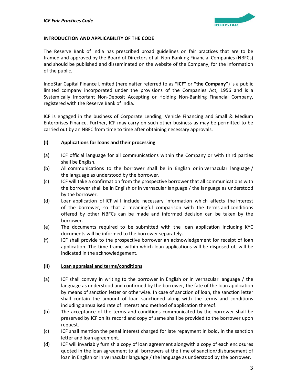

# **INTRODUCTION AND APPLICABILITY OF THE CODE**

The Reserve Bank of India has prescribed broad guidelines on fair practices that are to be framed and approved by the Board of Directors of all Non-Banking Financial Companies (NBFCs) and should be published and disseminated on the website of the Company, for the information of the public.

IndoStar Capital Finance Limited (hereinafter referred to as **"ICF"** or **"the Company"**) is a public limited company incorporated under the provisions of the Companies Act, 1956 and is a Systemically Important Non-Deposit Accepting or Holding Non-Banking Financial Company, registered with the Reserve Bank of India.

ICF is engaged in the business of Corporate Lending, Vehicle Financing and Small & Medium Enterprises Finance. Further, ICF may carry on such other business as may be permitted to be carried out by an NBFC from time to time after obtaining necessary approvals.

# **(I) Applications for loans and their processing**

- (a) ICF official language for all communications within the Company or with third parties shall be English.
- (b) All communications to the borrower shall be in English or in vernacular language / the language as understood by the borrower.
- (c) ICF will take a confirmation from the prospective borrower that all communications with the borrower shall be in English or in vernacular language / the language as understood by the borrower.
- (d) Loan application of ICF will include necessary information which affects the interest of the borrower, so that a meaningful comparison with the terms and conditions offered by other NBFCs can be made and informed decision can be taken by the borrower.
- (e) The documents required to be submitted with the loan application including KYC documents will be informed to the borrower separately.
- (f) ICF shall provide to the prospective borrower an acknowledgement for receipt of loan application. The time frame within which loan applications will be disposed of, will be indicated in the acknowledgement.

# **(II) Loan appraisal and terms/conditions**

- (a) ICF shall convey in writing to the borrower in English or in vernacular language / the language as understood and confirmed by the borrower, the fate of the loan application by means of sanction letter or otherwise. In case of sanction of loan, the sanction letter shall contain the amount of loan sanctioned along with the terms and conditions including annualised rate of interest and method of application thereof.
- (b) The acceptance of the terms and conditions communicated by the borrower shall be preserved by ICF on its record and copy of same shall be provided to the borrower upon request.
- (c) ICF shall mention the penal interest charged for late repayment in bold, in the sanction letter and loan agreement.
- (d) ICF will invariably furnish a copy of loan agreement alongwith a copy of each enclosures quoted in the loan agreement to all borrowers at the time of sanction/disbursement of loan in English or in vernacular language / the language as understood by the borrower.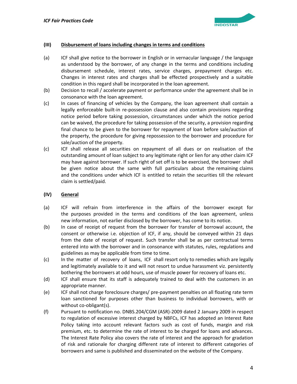

# **(III) Disbursement of loans including changes in terms and conditions**

- (a) ICF shall give notice to the borrower in English or in vernacular language / the language as understood by the borrower, of any change in the terms and conditions including disbursement schedule, interest rates, service charges, prepayment charges etc. Changes in interest rates and charges shall be effected prospectively and a suitable condition in this regard shall be incorporated in the loan agreement.
- (b) Decision to recall / accelerate payment or performance under the agreement shall be in consonance with the loan agreement.
- (c) In cases of financing of vehicles by the Company, the loan agreement shall contain a legally enforceable built-in re-possession clause and also contain provisions regarding notice period before taking possession, circumstances under which the notice period can be waived, the procedure for taking possession of the security, a provision regarding final chance to be given to the borrower for repayment of loan before sale/auction of the property, the procedure for giving repossession to the borrower and procedure for sale/auction of the property.
- (c) ICF shall release all securities on repayment of all dues or on realisation of the outstanding amount of loan subject to any legitimate right or lien for any other claim ICF may have against borrower. If such right of set off is to be exercised, the borrower shall be given notice about the same with full particulars about the remaining claims and the conditions under which ICF is entitled to retain the securities till the relevant claim is settled/paid.

# **(IV) General**

- (a) ICF will refrain from interference in the affairs of the borrower except for the purposes provided in the terms and conditions of the loan agreement, unless new information, not earlier disclosed by the borrower, has come to its notice.
- (b) In case of receipt of request from the borrower for transfer of borrowal account, the consent or otherwise i.e. objection of ICF, if any, should be conveyed within 21 days from the date of receipt of request. Such transfer shall be as per contractual terms entered into with the borrower and in consonance with statutes, rules, regulations and guidelines as may be applicable from time to time.
- (c) In the matter of recovery of loans, ICF shall resort only to remedies which are legally and legitimately available to it and will not resort to undue harassment viz. persistently bothering the borrowers at odd hours, use of muscle power for recovery of loans etc.
- (d) ICF shall ensure that its staff is adequately trained to deal with the customers in an appropriate manner.
- (e) ICF shall not charge foreclosure charges/ pre-payment penalties on all floating rate term loan sanctioned for purposes other than business to individual borrowers, with or without co-obligant(s).
- (f) Pursuant to notification no. DNBS.204/CGM (ASR)-2009 dated 2 January 2009 in respect to regulation of excessive interest charged by NBFCs, ICF has adopted an Interest Rate Policy taking into account relevant factors such as cost of funds, margin and risk premium, etc. to determine the rate of interest to be charged for loans and advances. The Interest Rate Policy also covers the rate of interest and the approach for gradation of risk and rationale for charging different rate of interest to different categories of borrowers and same is published and disseminated on the website of the Company.